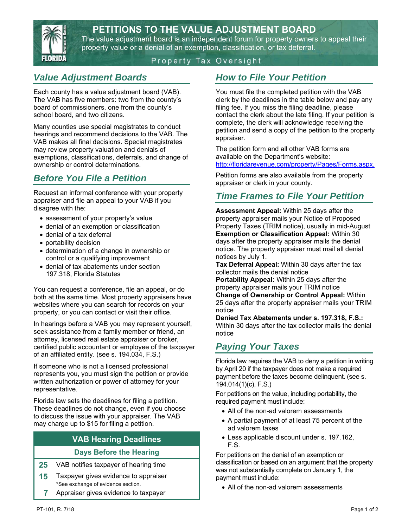## **PETITIONS TO THE VALUE ADJUSTMENT BOARD**



The value adjustment board is an independent forum for property owners to appeal their property value or a denial of an exemption, classification, or tax deferral.

#### Property Tax Oversight

## *Value Adjustment Boards*

Each county has a value adjustment board (VAB). The VAB has five members: two from the county's board of commissioners, one from the county's school board, and two citizens.

Many counties use special magistrates to conduct hearings and recommend decisions to the VAB. The VAB makes all final decisions. Special magistrates may review property valuation and denials of exemptions, classifications, deferrals, and change of ownership or control determinations.

## *Before You File a Petition*

Request an informal conference with your property appraiser and file an appeal to your VAB if you disagree with the:

- assessment of your property's value
- denial of an exemption or classification
- denial of a tax deferral
- portability decision
- determination of a change in ownership or control or a qualifying improvement
- denial of tax abatements under section 197.318, Florida Statutes

You can request a conference, file an appeal, or do both at the same time. Most property appraisers have websites where you can search for records on your property, or you can contact or visit their office.

In hearings before a VAB you may represent yourself, seek assistance from a family member or friend, an attorney, licensed real estate appraiser or broker, certified public accountant or employee of the taxpayer of an affiliated entity. (see s. 194.034, F.S.)

If someone who is not a licensed professional represents you, you must sign the petition or provide written authorization or power of attorney for your representative.

Florida law sets the deadlines for filing a petition. These deadlines do not change, even if you choose to discuss the issue with your appraiser. The VAB may charge up to \$15 for filing a petition.

### **VAB Hearing Deadlines**

#### **Days Before the Hearing**

- **25** VAB notifies taxpayer of hearing time
- **15** Taxpayer gives evidence to appraiser \*See exchange of evidence section.
- **7** Appraiser gives evidence to taxpayer

### *How to File Your Petition*

You must file the completed petition with the VAB clerk by the deadlines in the table below and pay any filing fee. If you miss the filing deadline, please contact the clerk about the late filing. If your petition is complete, the clerk will acknowledge receiving the petition and send a copy of the petition to the property appraiser.

The petition form and all other VAB forms are available on the Department's website: http://floridarevenue.com/property/Pages/Forms.aspx.

Petition forms are also available from the property appraiser or clerk in your county.

## *Time Frames to File Your Petition*

**Assessment Appeal:** Within 25 days after the property appraiser mails your Notice of Proposed Property Taxes (TRIM notice), usually in mid-August **Exemption or Classification Appeal:** Within 30 days after the property appraiser mails the denial notice. The property appraiser must mail all denial notices by July 1.

**Tax Deferral Appeal:** Within 30 days after the tax collector mails the denial notice

**Portability Appeal:** Within 25 days after the property appraiser mails your TRIM notice **Change of Ownership or Control Appeal:** Within 25 days after the property appraiser mails your TRIM notice

**Denied Tax Abatements under s. 197.318, F.S.:**  Within 30 days after the tax collector mails the denial notice

# *Paying Your Taxes*

Florida law requires the VAB to deny a petition in writing by April 20 if the taxpayer does not make a required payment before the taxes become delinquent. (see s. 194.014(1)(c), F.S.)

For petitions on the value, including portability, the required payment must include:

- All of the non-ad valorem assessments
- A partial payment of at least 75 percent of the ad valorem taxes
- Less applicable discount under s. 197.162, F.S.

For petitions on the denial of an exemption or classification or based on an argument that the property was not substantially complete on January 1, the payment must include:

• All of the non-ad valorem assessments